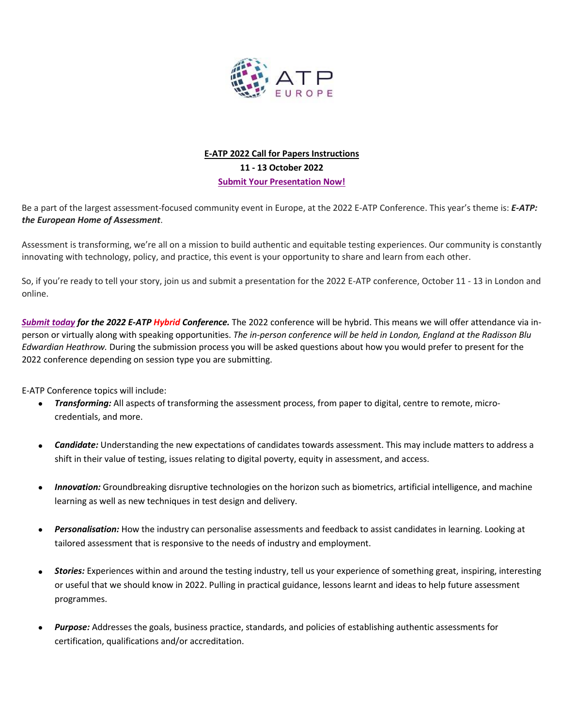

# **E-ATP 2022 Call for Papers Instructions 11 - 13 October 2022 [Submit Your Presentation Now!](https://na.eventscloud.com/eselectv3/v3/events/670042/site/view)**

Be a part of the largest assessment-focused community event in Europe, at the 2022 E-ATP Conference. This year's theme is: *E-ATP: the European Home of Assessment*.

Assessment is transforming, we're all on a mission to build authentic and equitable testing experiences. Our community is constantly innovating with technology, policy, and practice, this event is your opportunity to share and learn from each other.

So, if you're ready to tell your story, join us and submit a presentation for the 2022 E-ATP conference, October 11 - 13 in London and online.

*[Submit today](https://na.eventscloud.com/eselectv3/v3/events/670042/site/view) for the 2022 E-ATP Hybrid Conference.* The 2022 conference will be hybrid. This means we will offer attendance via inperson or virtually along with speaking opportunities. *The in-person conference will be held in London, England at the Radisson Blu Edwardian Heathrow.* During the submission process you will be asked questions about how you would prefer to present for the 2022 conference depending on session type you are submitting.

E-ATP Conference topics will include:

- *Transforming:* All aspects of transforming the assessment process, from paper to digital, centre to remote, microcredentials, and more.
- *Candidate:* Understanding the new expectations of candidates towards assessment. This may include matters to address a shift in their value of testing, issues relating to digital poverty, equity in assessment, and access.
- *Innovation:* Groundbreaking disruptive technologies on the horizon such as biometrics, artificial intelligence, and machine learning as well as new techniques in test design and delivery.
- *Personalisation:* How the industry can personalise assessments and feedback to assist candidates in learning. Looking at tailored assessment that is responsive to the needs of industry and employment.
- *Stories:* Experiences within and around the testing industry, tell us your experience of something great, inspiring, interesting or useful that we should know in 2022. Pulling in practical guidance, lessons learnt and ideas to help future assessment programmes.
- *Purpose:* Addresses the goals, business practice, standards, and policies of establishing authentic assessments for certification, qualifications and/or accreditation.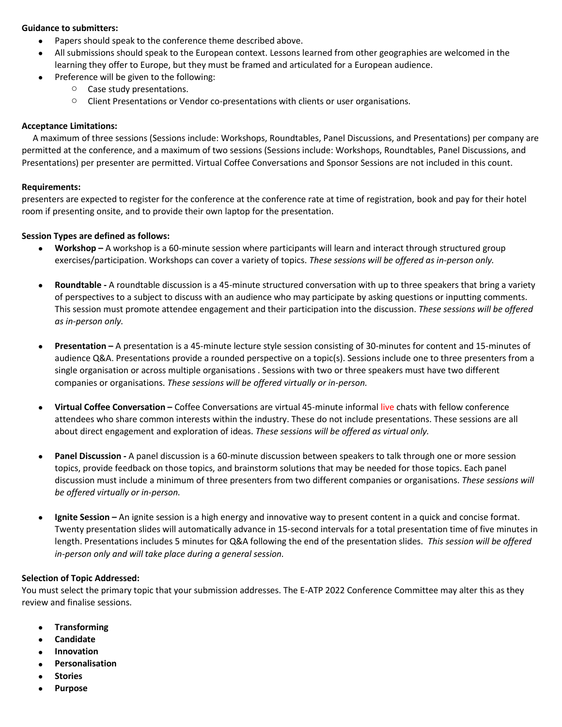#### **Guidance to submitters:**

- Papers should speak to the conference theme described above.
- All submissions should speak to the European context. Lessons learned from other geographies are welcomed in the learning they offer to Europe, but they must be framed and articulated for a European audience.
- Preference will be given to the following:
	- o Case study presentations.
	- $\circ$  Client Presentations or Vendor co-presentations with clients or user organisations.

### **Acceptance Limitations:**

 A maximum of three sessions (Sessions include: Workshops, Roundtables, Panel Discussions, and Presentations) per company are permitted at the conference, and a maximum of two sessions (Sessions include: Workshops, Roundtables, Panel Discussions, and Presentations) per presenter are permitted. Virtual Coffee Conversations and Sponsor Sessions are not included in this count.

#### **Requirements:**

presenters are expected to register for the conference at the conference rate at time of registration, book and pay for their hotel room if presenting onsite, and to provide their own laptop for the presentation.

#### **Session Types are defined as follows:**

- **Workshop –** A workshop is a 60-minute session where participants will learn and interact through structured group exercises/participation. Workshops can cover a variety of topics. *These sessions will be offered as in-person only.*
- **Roundtable -** A roundtable discussion is a 45-minute structured conversation with up to three speakers that bring a variety of perspectives to a subject to discuss with an audience who may participate by asking questions or inputting comments. This session must promote attendee engagement and their participation into the discussion. *These sessions will be offered as in-person only.*
- **Presentation –** A presentation is a 45-minute lecture style session consisting of 30-minutes for content and 15-minutes of audience Q&A. Presentations provide a rounded perspective on a topic(s). Sessions include one to three presenters from a single organisation or across multiple organisations . Sessions with two or three speakers must have two different companies or organisations. *These sessions will be offered virtually or in-person.*
- **Virtual Coffee Conversation –** Coffee Conversations are virtual 45-minute informal live chats with fellow conference attendees who share common interests within the industry. These do not include presentations. These sessions are all about direct engagement and exploration of ideas. *These sessions will be offered as virtual only.*
- **Panel Discussion -** A panel discussion is a 60-minute discussion between speakers to talk through one or more session topics, provide feedback on those topics, and brainstorm solutions that may be needed for those topics. Each panel discussion must include a minimum of three presenters from two different companies or organisations. *These sessions will be offered virtually or in-person.*
- **Ignite Session –** An ignite session is a high energy and innovative way to present content in a quick and concise format. Twenty presentation slides will automatically advance in 15-second intervals for a total presentation time of five minutes in length. Presentations includes 5 minutes for Q&A following the end of the presentation slides. *This session will be offered in-person only and will take place during a general session.*

#### **Selection of Topic Addressed:**

You must select the primary topic that your submission addresses. The E-ATP 2022 Conference Committee may alter this as they review and finalise sessions.

- **Transforming**
- **Candidate**
- **Innovation**
- **Personalisation**
- **Stories**
- **Purpose**